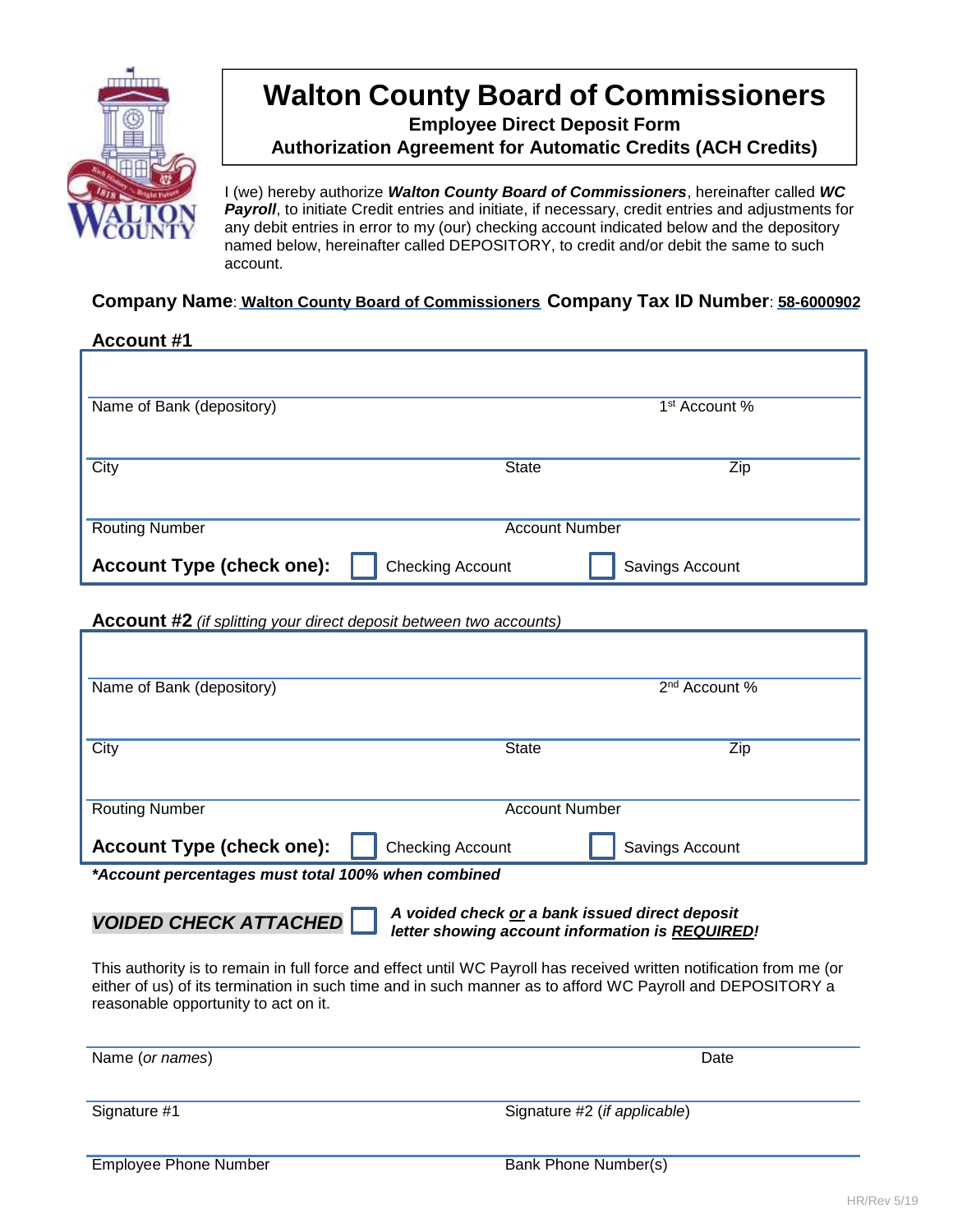

## **Walton County Board of Commissioners**

**Employee Direct Deposit Form**

**Authorization Agreement for Automatic Credits (ACH Credits)**

I (we) hereby authorize *Walton County Board of Commissioners*, hereinafter called *WC*  **Payroll**, to initiate Credit entries and initiate, if necessary, credit entries and adjustments for any debit entries in error to my (our) checking account indicated below and the depository named below, hereinafter called DEPOSITORY, to credit and/or debit the same to such account.

## **Company Name**: **Walton County Board of Commissioners Company Tax ID Number**: **58-6000902**

## **Account #1**

| Name of Bank (depository)        |                         | 1 <sup>st</sup> Account % |
|----------------------------------|-------------------------|---------------------------|
|                                  |                         |                           |
| City                             | <b>State</b>            | Zip                       |
|                                  |                         |                           |
| <b>Routing Number</b>            | <b>Account Number</b>   |                           |
| <b>Account Type (check one):</b> | <b>Checking Account</b> | Savings Account           |

**Account #2** *(if splitting your direct deposit between two accounts)*

| Name of Bank (depository)                          |                         | 2 <sup>nd</sup> Account % |  |
|----------------------------------------------------|-------------------------|---------------------------|--|
|                                                    |                         |                           |  |
| City                                               | <b>State</b>            | Zip                       |  |
|                                                    |                         |                           |  |
| <b>Routing Number</b>                              | <b>Account Number</b>   |                           |  |
| <b>Account Type (check one):</b>                   | <b>Checking Account</b> | Savings Account           |  |
| *Account percentages must total 100% when combined |                         |                           |  |

*VOIDED CHECK ATTACHED*

*A voided check or a bank issued direct deposit letter showing account information is REQUIRED!*

This authority is to remain in full force and effect until WC Payroll has received written notification from me (or either of us) of its termination in such time and in such manner as to afford WC Payroll and DEPOSITORY a reasonable opportunity to act on it.

| Name (or names) | Date                         |
|-----------------|------------------------------|
|                 |                              |
|                 |                              |
| Signature #1    | Signature #2 (if applicable) |
|                 |                              |
|                 |                              |